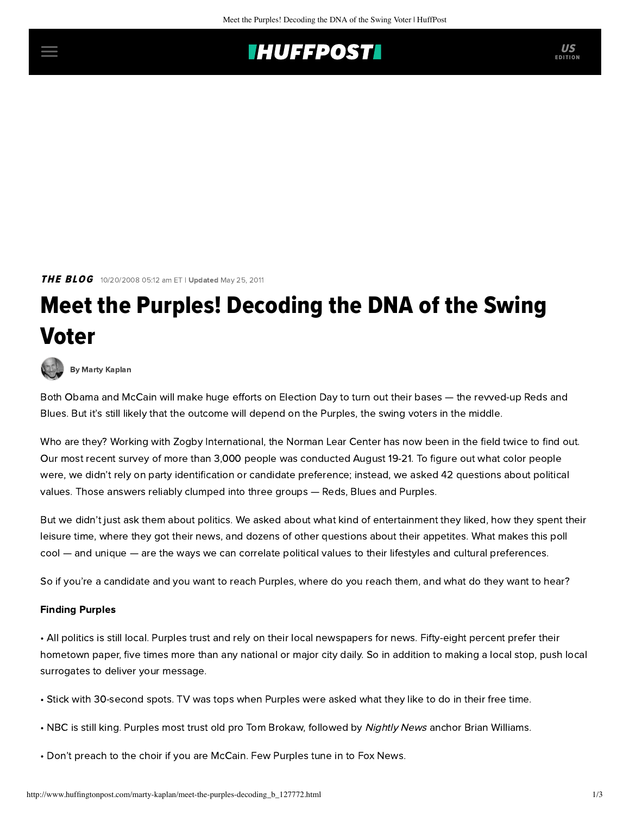## **INUFFPOSTI** EXPLOSE THE US

**THE BLOG** 10/20/2008 05:12 am ET | Updated May 25, 2011

# Meet the Purples! Decoding the DNA of the Swing Voter



[By Marty Kaplan](http://www.huffingtonpost.com/author/marty-kaplan)

Both Obama and McCain will make huge efforts on Election Day to turn out their bases — the revved-up Reds and Blues. But it's still likely that the outcome will depend on the Purples, the swing voters in the middle.

Who are they? Working with Zogby International, the [Norman Lear Center](http://www.learcenter.org/) has now been in the field twice to find out. Our most recent survey of more than 3,000 people was conducted August 19-21. To figure out what color people were, we didn't rely on party identification or candidate preference; instead, we asked 42 questions about political values. Those answers reliably clumped into three groups — Reds, Blues and Purples.

But we didn't just ask them about politics. We asked about what kind of entertainment they liked, how they spent their leisure time, where they got their news, and dozens of other questions about their appetites. What makes this poll cool — and unique — are the ways we can correlate political values to their lifestyles and cultural preferences.

So if you're a candidate and you want to reach Purples, where do you reach them, and what do they want to hear?

#### Finding Purples

• All politics is still local. Purples trust and rely on their local newspapers for news. Fifty-eight percent prefer their hometown paper, five times more than any national or major city daily. So in addition to making a local stop, push local surrogates to deliver your message.

- Stick with 30-second spots. TV was tops when Purples were asked what they like to do in their free time.
- NBC is still king. Purples most trust old pro Tom Brokaw, followed by Nightly News anchor Brian Williams.
- Don't preach to the choir if you are McCain. Few Purples tune in to Fox News.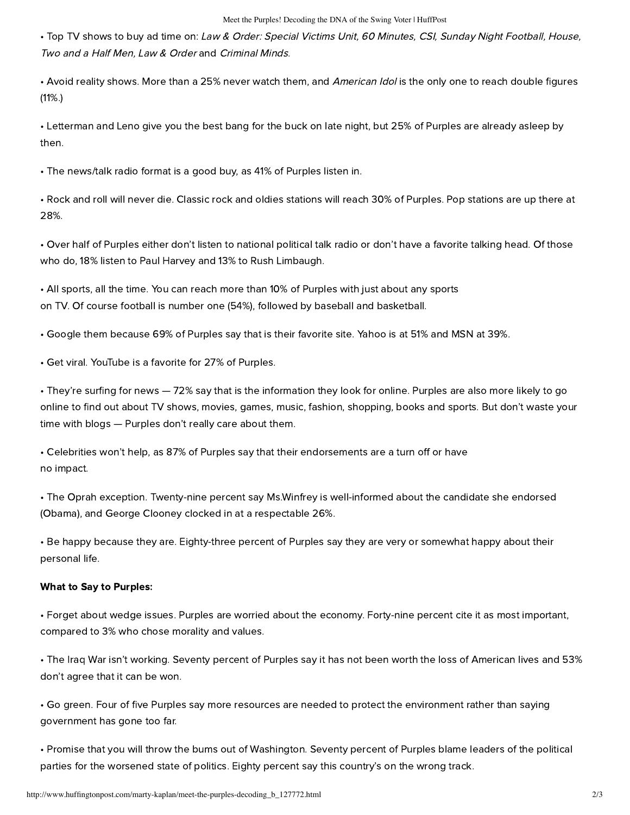• Top TV shows to buy ad time on: Law & Order: Special Victims Unit, 60 Minutes, CSI, Sunday Night Football, House, Two and a Half Men, Law & Order and Criminal Minds.

• Avoid reality shows. More than a 25% never watch them, and American Idol is the only one to reach double figures (11%.)

• Letterman and Leno give you the best bang for the buck on late night, but 25% of Purples are already asleep by then.

• The news/talk radio format is a good buy, as 41% of Purples listen in.

• Rock and roll will never die. Classic rock and oldies stations will reach 30% of Purples. Pop stations are up there at 28%.

• Over half of Purples either don't listen to national political talk radio or don't have a favorite talking head. Of those who do, 18% listen to Paul Harvey and 13% to Rush Limbaugh.

• All sports, all the time. You can reach more than 10% of Purples with just about any sports on TV. Of course football is number one (54%), followed by baseball and basketball.

• Google them because 69% of Purples say that is their favorite site. Yahoo is at 51% and MSN at 39%.

• Get viral. YouTube is a favorite for 27% of Purples.

• They're surfing for news — 72% say that is the information they look for online. Purples are also more likely to go online to find out about TV shows, movies, games, music, fashion, shopping, books and sports. But don't waste your time with blogs — Purples don't really care about them.

• Celebrities won't help, as 87% of Purples say that their endorsements are a turn off or have no impact.

• The Oprah exception. Twenty-nine percent say Ms.Winfrey is well-informed about the candidate she endorsed (Obama), and George Clooney clocked in at a respectable 26%.

• Be happy because they are. Eighty-three percent of Purples say they are very or somewhat happy about their personal life.

### What to Say to Purples:

• Forget about wedge issues. Purples are worried about the economy. Forty-nine percent cite it as most important, compared to 3% who chose morality and values.

• The Iraq War isn't working. Seventy percent of Purples say it has not been worth the loss of American lives and 53% don't agree that it can be won.

• Go green. Four of five Purples say more resources are needed to protect the environment rather than saying government has gone too far.

• Promise that you will throw the bums out of Washington. Seventy percent of Purples blame leaders of the political parties for the worsened state of politics. Eighty percent say this country's on the wrong track.